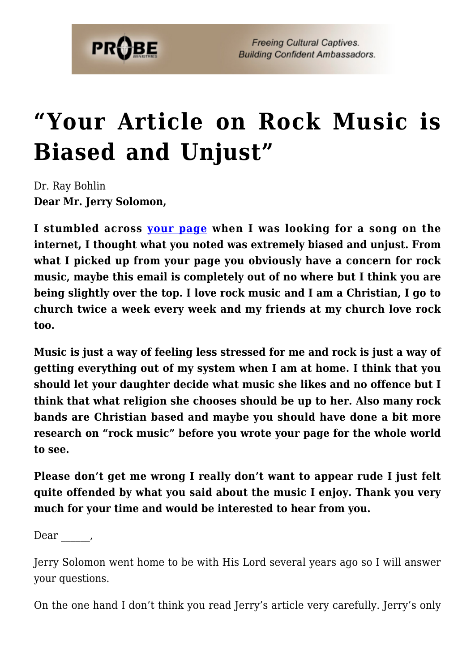

## **["Your Article on Rock Music is](https://probe.org/your-article-on-rock-music-is-biased-and-unjust/) [Biased and Unjust"](https://probe.org/your-article-on-rock-music-is-biased-and-unjust/)**

Dr. Ray Bohlin **Dear Mr. Jerry Solomon,**

**I stumbled across [your page](https://www.probe.org/rock-music/) when I was looking for a song on the internet, I thought what you noted was extremely biased and unjust. From what I picked up from your page you obviously have a concern for rock music, maybe this email is completely out of no where but I think you are being slightly over the top. I love rock music and I am a Christian, I go to church twice a week every week and my friends at my church love rock too.**

**Music is just a way of feeling less stressed for me and rock is just a way of getting everything out of my system when I am at home. I think that you should let your daughter decide what music she likes and no offence but I think that what religion she chooses should be up to her. Also many rock bands are Christian based and maybe you should have done a bit more research on "rock music" before you wrote your page for the whole world to see.**

**Please don't get me wrong I really don't want to appear rude I just felt quite offended by what you said about the music I enjoy. Thank you very much for your time and would be interested to hear from you.**

Dear,

Jerry Solomon went home to be with His Lord several years ago so I will answer your questions.

On the one hand I don't think you read Jerry's article very carefully. Jerry's only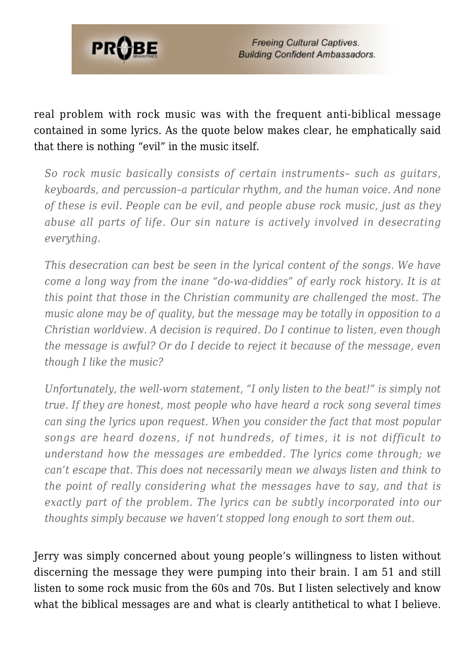

real problem with rock music was with the frequent anti-biblical message contained in some lyrics. As the quote below makes clear, he emphatically said that there is nothing "evil" in the music itself.

*So rock music basically consists of certain instruments– such as guitars, keyboards, and percussion–a particular rhythm, and the human voice. And none of these is evil. People can be evil, and people abuse rock music, just as they abuse all parts of life. Our sin nature is actively involved in desecrating everything.*

*This desecration can best be seen in the lyrical content of the songs. We have come a long way from the inane "do-wa-diddies" of early rock history. It is at this point that those in the Christian community are challenged the most. The music alone may be of quality, but the message may be totally in opposition to a Christian worldview. A decision is required. Do I continue to listen, even though the message is awful? Or do I decide to reject it because of the message, even though I like the music?*

*Unfortunately, the well-worn statement, "I only listen to the beat!" is simply not true. If they are honest, most people who have heard a rock song several times can sing the lyrics upon request. When you consider the fact that most popular songs are heard dozens, if not hundreds, of times, it is not difficult to understand how the messages are embedded. The lyrics come through; we can't escape that. This does not necessarily mean we always listen and think to the point of really considering what the messages have to say, and that is exactly part of the problem. The lyrics can be subtly incorporated into our thoughts simply because we haven't stopped long enough to sort them out.*

Jerry was simply concerned about young people's willingness to listen without discerning the message they were pumping into their brain. I am 51 and still listen to some rock music from the 60s and 70s. But I listen selectively and know what the biblical messages are and what is clearly antithetical to what I believe.